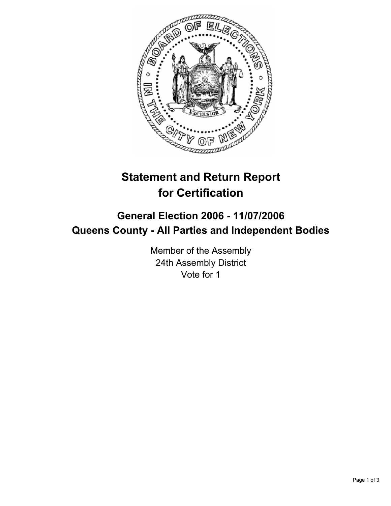

# **Statement and Return Report for Certification**

## **General Election 2006 - 11/07/2006 Queens County - All Parties and Independent Bodies**

Member of the Assembly 24th Assembly District Vote for 1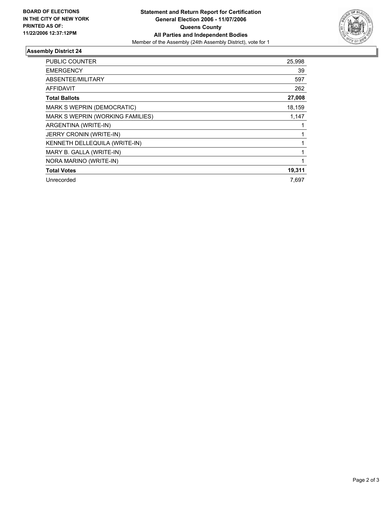

### **Assembly District 24**

| PUBLIC COUNTER                   | 25,998 |
|----------------------------------|--------|
| <b>EMERGENCY</b>                 | 39     |
| ABSENTEE/MILITARY                | 597    |
| <b>AFFIDAVIT</b>                 | 262    |
| <b>Total Ballots</b>             | 27,008 |
| MARK S WEPRIN (DEMOCRATIC)       | 18,159 |
| MARK S WEPRIN (WORKING FAMILIES) | 1,147  |
| ARGENTINA (WRITE-IN)             |        |
| <b>JERRY CRONIN (WRITE-IN)</b>   |        |
| KENNETH DELLEQUILA (WRITE-IN)    |        |
| MARY B. GALLA (WRITE-IN)         |        |
| NORA MARINO (WRITE-IN)           |        |
| <b>Total Votes</b>               | 19,311 |
| Unrecorded                       | 7,697  |